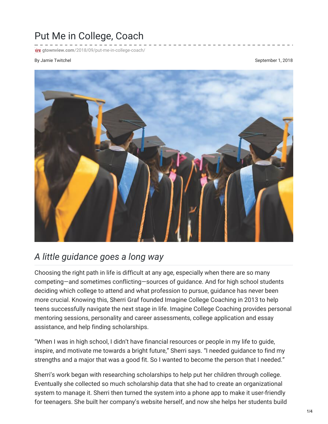## Put Me in College, Coach

**FILK** gtownview.com[/2018/09/put-me-in-college-coach/](http://gtownview.com/2018/09/put-me-in-college-coach/)

## By Jamie Twitchel **September 1, 2018**



## *A little guidance goes a long way*

Choosing the right path in life is difficult at any age, especially when there are so many competing—and sometimes conflicting—sources of guidance. And for high school students deciding which college to attend and what profession to pursue, guidance has never been more crucial. Knowing this, Sherri Graf founded Imagine College Coaching in 2013 to help teens successfully navigate the next stage in life. Imagine College Coaching provides personal mentoring sessions, personality and career assessments, college application and essay assistance, and help finding scholarships.

"When I was in high school, I didn't have financial resources or people in my life to guide, inspire, and motivate me towards a bright future," Sherri says. "I needed guidance to find my strengths and a major that was a good fit. So I wanted to become the person that I needed."

Sherri's work began with researching scholarships to help put her children through college. Eventually she collected so much scholarship data that she had to create an organizational system to manage it. Sherri then turned the system into a phone app to make it user-friendly for teenagers. She built her company's website herself, and now she helps her students build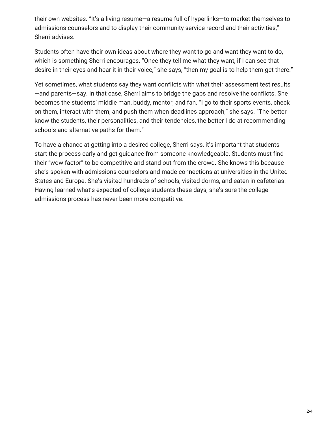their own websites. "It's a living resume—a resume full of hyperlinks—to market themselves to admissions counselors and to display their community service record and their activities," Sherri advises.

Students often have their own ideas about where they want to go and want they want to do, which is something Sherri encourages. "Once they tell me what they want, if I can see that desire in their eyes and hear it in their voice," she says, "then my goal is to help them get there."

Yet sometimes, what students say they want conflicts with what their assessment test results —and parents—say. In that case, Sherri aims to bridge the gaps and resolve the conflicts. She becomes the students' middle man, buddy, mentor, and fan. "I go to their sports events, check on them, interact with them, and push them when deadlines approach," she says. "The better I know the students, their personalities, and their tendencies, the better I do at recommending schools and alternative paths for them."

To have a chance at getting into a desired college, Sherri says, it's important that students start the process early and get guidance from someone knowledgeable. Students must find their "wow factor" to be competitive and stand out from the crowd. She knows this because she's spoken with admissions counselors and made connections at universities in the United States and Europe. She's visited hundreds of schools, visited dorms, and eaten in cafeterias. Having learned what's expected of college students these days, she's sure the college admissions process has never been more competitive.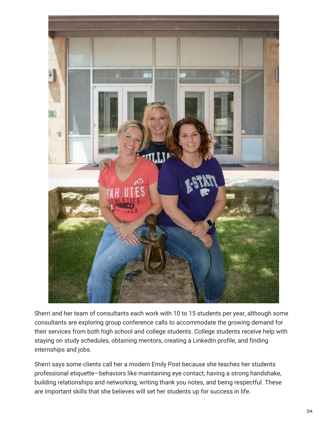

Sherri and her team of consultants each work with 10 to 15 students per year, although some consultants are exploring group conference calls to accommodate the growing demand for their services from both high school and college students. College students receive help with staying on study schedules, obtaining mentors, creating a LinkedIn profile, and finding internships and jobs.

Sherri says some clients call her a modern Emily Post because she teaches her students professional etiquette—behaviors like maintaining eye contact, having a strong handshake, building relationships and networking, writing thank you notes, and being respectful. These are important skills that she believes will set her students up for success in life.